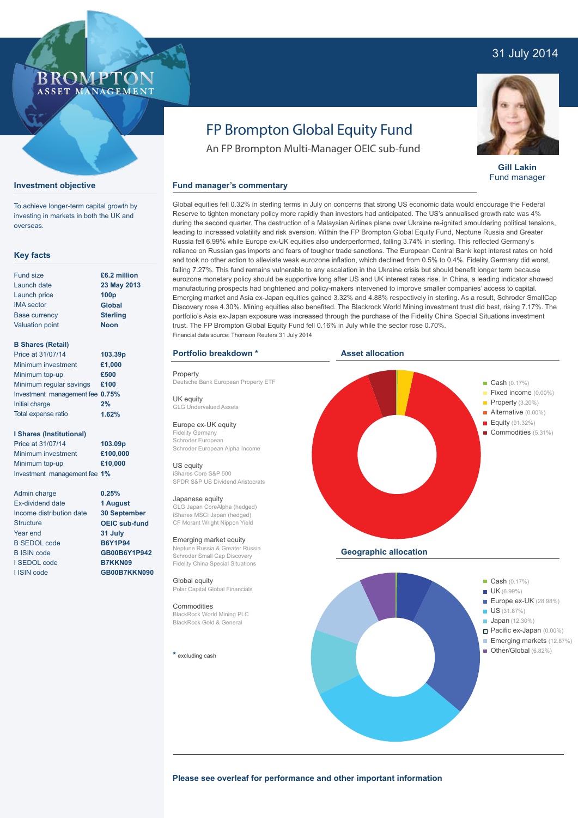## 31 July 2014

### ROMP ASSET MANAGEMENT

**Investment objective**

overseas.

**Key facts**

Fund size Launch date Launch price IMA sector Base currency Valuation point

**B Shares (Retail)** Price at 31/07/14 Minimum investment Minimum top-up

Initial charge Total expense ratio

Admin charge Ex-dividend date Income distribution date

**Structure** Year end B SEDOL code B ISIN code I SEDOL code I ISIN code

**I Shares (Institutional)** Price at 31/07/14 Minimum investment Minimum top-up

Minimum regular savings **£100** Investment management fee **0.75%**

To achieve longer-term capital growth by investing in markets in both the UK and

> **£6.2 million 23 May 2013 100p Global Sterling Noon**

**103.39p £1,000 £500**

**2% 1.62%**

**103.09p £100,000 £10,000**

# FP Brompton Global Equity Fund

An FP Brompton Multi-Manager OEIC sub-fund

#### **Fund manager's commentary**

Global equities fell 0.32% in sterling terms in July on concerns that strong US economic data would encourage the Federal Reserve to tighten monetary policy more rapidly than investors had anticipated. The US's annualised growth rate was 4% during the second quarter. The destruction of a Malaysian Airlines plane over Ukraine re-ignited smouldering political tensions, leading to increased volatility and risk aversion. Within the FP Brompton Global Equity Fund, Neptune Russia and Greater Russia fell 6.99% while Europe ex-UK equities also underperformed, falling 3.74% in sterling. This reflected Germany's reliance on Russian gas imports and fears of tougher trade sanctions. The European Central Bank kept interest rates on hold and took no other action to alleviate weak eurozone inflation, which declined from 0.5% to 0.4%. Fidelity Germany did worst, falling 7.27%. This fund remains vulnerable to any escalation in the Ukraine crisis but should benefit longer term because eurozone monetary policy should be supportive long after US and UK interest rates rise. In China, a leading indicator showed manufacturing prospects had brightened and policy-makers intervened to improve smaller companies' access to capital. Emerging market and Asia ex-Japan equities gained 3.32% and 4.88% respectively in sterling. As a result, Schroder SmallCap Discovery rose 4.30%. Mining equities also benefited. The Blackrock World Mining investment trust did best, rising 7.17%. The portfolio's Asia ex-Japan exposure was increased through the purchase of the Fidelity China Special Situations investment trust. The FP Brompton Global Equity Fund fell 0.16% in July while the sector rose 0.70%. Financial data source: Thomson Reuters 31 July 2014

#### **Portfolio breakdown \***

Property Deutsche Bank European Property ETF

UK equity GLG Undervalued Assets

Europe ex-UK equity Fidelity Germany Schroder European Schroder European Alpha Income

US equity iShares Core S&P 500 SPDR S&P US Dividend Aristocrats

#### Japanese equity

GLG Japan CoreAlpha (hedged) iShares MSCI Japan (hedged) CF Morant Wright Nippon Yield

Emerging market equity Neptune Russia & Greater Russia Schroder Small Cap Discovery Fidelity China Special Situations

Global equity Polar Capital Global Financials

Commodities BlackRock World Mining PLC BlackRock Gold & General

**\*** excluding cash



**Please see overleaf for performance and other important information**



**Gill Lakin** Fund manager

Pacific ex-Japan (0.00%) **Emerging markets** (12.87%) Other/Global (6.82%)

Investment management fee **1% 0.25% 1 August 30 September**

**OEIC sub-fund 31 July B6Y1P94 GB00B6Y1P942 B7KKN09 GB00B7KKN090**